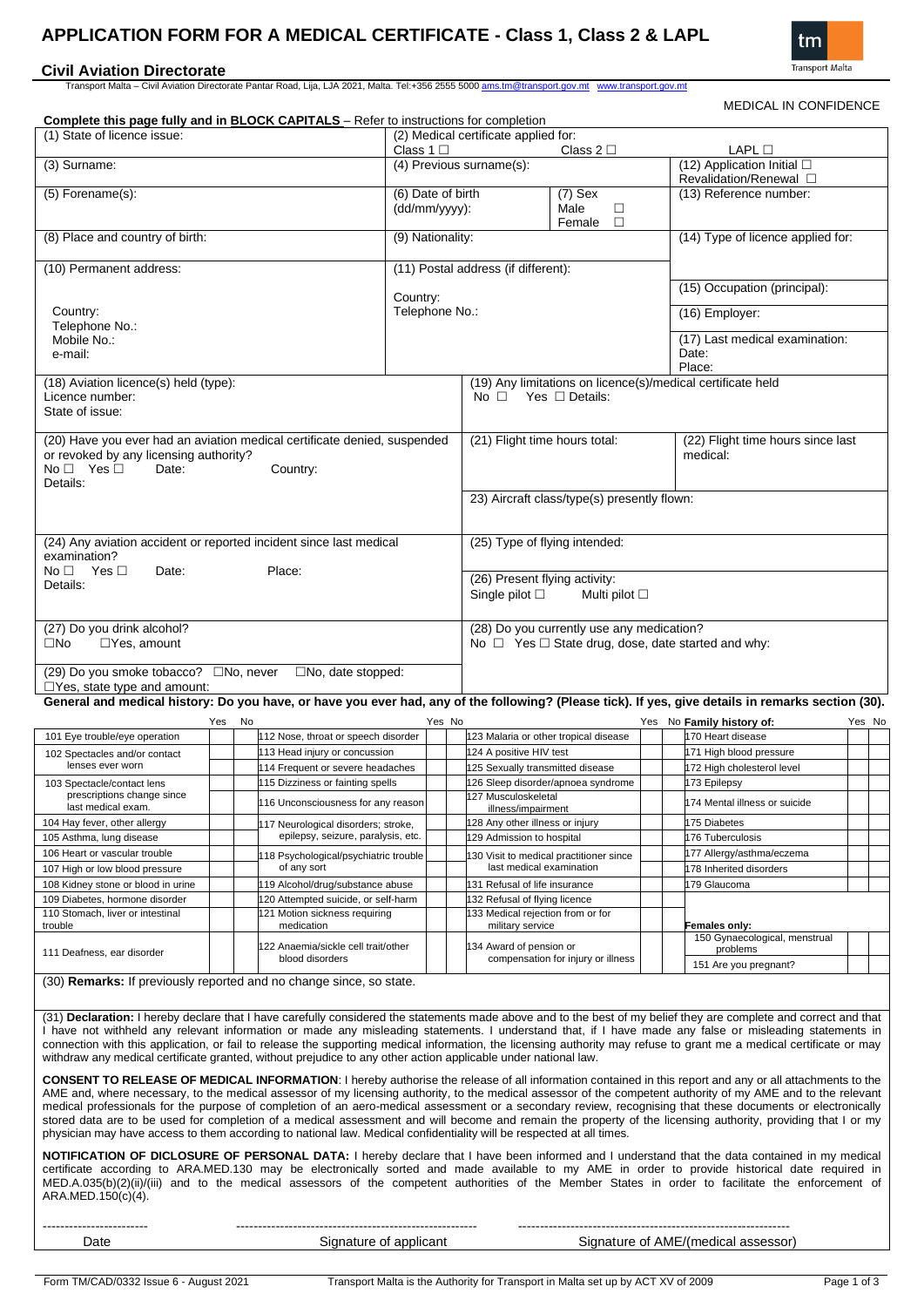# **APPLICATION FORM FOR A MEDICAL CERTIFICATE - Class 1, Class 2 & LAPL**

## **Civil Aviation Directorate**

Transport Malta – Civil Aviation Directorate Pantar Road, Lija, LJA 2021, Malta. Tel:+356 2555 5000 ams.tm@transport.gov.mt www.transport.gov.mt



MEDICAL IN CONFIDENCE

| <b>Complete this page fully and in BLOCK CAPITALS</b> - Refer to instructions for completion                                                                                                                                                                                                                                                                                                                                                                                                                                                                                                                                                                                                                                                                                           |                                                                      |                                                                                                           |                                                                                              |                                                              |                                                   | ᇺ ┉ ᅛᄓᆢ |  |        |  |  |
|----------------------------------------------------------------------------------------------------------------------------------------------------------------------------------------------------------------------------------------------------------------------------------------------------------------------------------------------------------------------------------------------------------------------------------------------------------------------------------------------------------------------------------------------------------------------------------------------------------------------------------------------------------------------------------------------------------------------------------------------------------------------------------------|----------------------------------------------------------------------|-----------------------------------------------------------------------------------------------------------|----------------------------------------------------------------------------------------------|--------------------------------------------------------------|---------------------------------------------------|---------|--|--------|--|--|
| (1) State of licence issue:                                                                                                                                                                                                                                                                                                                                                                                                                                                                                                                                                                                                                                                                                                                                                            | Class $1 \Box$                                                       | (2) Medical certificate applied for:                                                                      | Class $2\square$                                                                             | LAPL □                                                       |                                                   |         |  |        |  |  |
| (3) Surname:                                                                                                                                                                                                                                                                                                                                                                                                                                                                                                                                                                                                                                                                                                                                                                           |                                                                      | (4) Previous surname(s):                                                                                  |                                                                                              | (12) Application Initial □<br>Revalidation/Renewal $\square$ |                                                   |         |  |        |  |  |
| (5) Forename(s):                                                                                                                                                                                                                                                                                                                                                                                                                                                                                                                                                                                                                                                                                                                                                                       |                                                                      | (6) Date of birth<br>(dd/mm/yyyy):                                                                        |                                                                                              | $(7)$ Sex<br>Male<br>$\Box$<br>$\Box$<br>Female              | (13) Reference number:                            |         |  |        |  |  |
| (8) Place and country of birth:                                                                                                                                                                                                                                                                                                                                                                                                                                                                                                                                                                                                                                                                                                                                                        |                                                                      | (9) Nationality:                                                                                          |                                                                                              |                                                              | (14) Type of licence applied for:                 |         |  |        |  |  |
| (10) Permanent address:                                                                                                                                                                                                                                                                                                                                                                                                                                                                                                                                                                                                                                                                                                                                                                |                                                                      |                                                                                                           | (11) Postal address (if different):                                                          |                                                              |                                                   |         |  |        |  |  |
|                                                                                                                                                                                                                                                                                                                                                                                                                                                                                                                                                                                                                                                                                                                                                                                        |                                                                      | Country:                                                                                                  |                                                                                              |                                                              | (15) Occupation (principal):                      |         |  |        |  |  |
| Country:<br>Telephone No.:                                                                                                                                                                                                                                                                                                                                                                                                                                                                                                                                                                                                                                                                                                                                                             |                                                                      | Telephone No.:                                                                                            |                                                                                              |                                                              | (16) Employer:                                    |         |  |        |  |  |
| Mobile No.:<br>e-mail:                                                                                                                                                                                                                                                                                                                                                                                                                                                                                                                                                                                                                                                                                                                                                                 |                                                                      |                                                                                                           |                                                                                              |                                                              | (17) Last medical examination:<br>Date:<br>Place: |         |  |        |  |  |
| (18) Aviation licence(s) held (type):<br>Licence number:<br>State of issue:                                                                                                                                                                                                                                                                                                                                                                                                                                                                                                                                                                                                                                                                                                            |                                                                      |                                                                                                           | (19) Any limitations on licence(s)/medical certificate held<br>No $\Box$ Yes $\Box$ Details: |                                                              |                                                   |         |  |        |  |  |
| (20) Have you ever had an aviation medical certificate denied, suspended<br>or revoked by any licensing authority?<br>$No \Box$ Yes $\Box$<br>Date:<br>Details:                                                                                                                                                                                                                                                                                                                                                                                                                                                                                                                                                                                                                        | Country:                                                             |                                                                                                           | (21) Flight time hours total:                                                                |                                                              | (22) Flight time hours since last<br>medical:     |         |  |        |  |  |
|                                                                                                                                                                                                                                                                                                                                                                                                                                                                                                                                                                                                                                                                                                                                                                                        |                                                                      |                                                                                                           | 23) Aircraft class/type(s) presently flown:                                                  |                                                              |                                                   |         |  |        |  |  |
| (24) Any aviation accident or reported incident since last medical<br>examination?<br>No <sub>1</sub><br>Yes ⊡<br>Date:                                                                                                                                                                                                                                                                                                                                                                                                                                                                                                                                                                                                                                                                | Place:                                                               | (25) Type of flying intended:                                                                             |                                                                                              |                                                              |                                                   |         |  |        |  |  |
| Details:                                                                                                                                                                                                                                                                                                                                                                                                                                                                                                                                                                                                                                                                                                                                                                               |                                                                      | (26) Present flying activity:<br>Single pilot $\square$<br>Multi pilot $\square$                          |                                                                                              |                                                              |                                                   |         |  |        |  |  |
| (27) Do you drink alcohol?<br>$\Box$ Yes, amount<br>$\square$ No                                                                                                                                                                                                                                                                                                                                                                                                                                                                                                                                                                                                                                                                                                                       |                                                                      | (28) Do you currently use any medication?<br>No $\Box$ Yes $\Box$ State drug, dose, date started and why: |                                                                                              |                                                              |                                                   |         |  |        |  |  |
| (29) Do you smoke tobacco? □No, never<br>$\Box$ Yes, state type and amount:                                                                                                                                                                                                                                                                                                                                                                                                                                                                                                                                                                                                                                                                                                            | $\square$ No, date stopped:                                          |                                                                                                           |                                                                                              |                                                              |                                                   |         |  |        |  |  |
| General and medical history: Do you have, or have you ever had, any of the following? (Please tick). If yes, give details in remarks section (30).                                                                                                                                                                                                                                                                                                                                                                                                                                                                                                                                                                                                                                     |                                                                      |                                                                                                           |                                                                                              |                                                              |                                                   |         |  |        |  |  |
| Yes<br>101 Eye trouble/eye operation                                                                                                                                                                                                                                                                                                                                                                                                                                                                                                                                                                                                                                                                                                                                                   | No<br>112 Nose, throat or speech disorder                            | Yes No                                                                                                    |                                                                                              | 123 Malaria or other tropical disease                        | Yes No Family history of:<br>170 Heart disease    |         |  | Yes No |  |  |
| 102 Spectacles and/or contact                                                                                                                                                                                                                                                                                                                                                                                                                                                                                                                                                                                                                                                                                                                                                          | 113 Head injury or concussion                                        |                                                                                                           | 124 A positive HIV test                                                                      |                                                              | 171 High blood pressure                           |         |  |        |  |  |
| lenses ever worn                                                                                                                                                                                                                                                                                                                                                                                                                                                                                                                                                                                                                                                                                                                                                                       | 114 Frequent or severe headaches                                     |                                                                                                           | 125 Sexually transmitted disease                                                             |                                                              | 172 High cholesterol level                        |         |  |        |  |  |
| 103 Spectacle/contact lens                                                                                                                                                                                                                                                                                                                                                                                                                                                                                                                                                                                                                                                                                                                                                             | 115 Dizziness or fainting spells                                     |                                                                                                           |                                                                                              | 126 Sleep disorder/apnoea syndrome                           | 173 Epilepsy                                      |         |  |        |  |  |
| prescriptions change since<br>last medical exam.                                                                                                                                                                                                                                                                                                                                                                                                                                                                                                                                                                                                                                                                                                                                       | 116 Unconsciousness for any reason                                   |                                                                                                           | 127 Musculoskeletal                                                                          |                                                              | 174 Mental illness or suicide                     |         |  |        |  |  |
| 104 Hay fever, other allergy                                                                                                                                                                                                                                                                                                                                                                                                                                                                                                                                                                                                                                                                                                                                                           | 117 Neurological disorders; stroke,                                  |                                                                                                           | illness/impairment<br>128 Any other illness or injury                                        |                                                              | 175 Diabetes                                      |         |  |        |  |  |
| 105 Asthma, lung disease                                                                                                                                                                                                                                                                                                                                                                                                                                                                                                                                                                                                                                                                                                                                                               | epilepsy, seizure, paralysis, etc.                                   |                                                                                                           | 129 Admission to hospital                                                                    |                                                              | 176 Tuberculosis                                  |         |  |        |  |  |
| 106 Heart or vascular trouble                                                                                                                                                                                                                                                                                                                                                                                                                                                                                                                                                                                                                                                                                                                                                          | 18 Psychological/psychiatric trouble                                 |                                                                                                           |                                                                                              | 30 Visit to medical practitioner since                       | 177 Allergy/asthma/eczema                         |         |  |        |  |  |
| 107 High or low blood pressure                                                                                                                                                                                                                                                                                                                                                                                                                                                                                                                                                                                                                                                                                                                                                         | of any sort                                                          |                                                                                                           | last medical examination                                                                     |                                                              | 178 Inherited disorders                           |         |  |        |  |  |
| 108 Kidney stone or blood in urine                                                                                                                                                                                                                                                                                                                                                                                                                                                                                                                                                                                                                                                                                                                                                     | 119 Alcohol/drug/substance abuse                                     |                                                                                                           | 31 Refusal of life insurance                                                                 |                                                              | 179 Glaucoma                                      |         |  |        |  |  |
| 109 Diabetes, hormone disorder<br>110 Stomach, liver or intestinal                                                                                                                                                                                                                                                                                                                                                                                                                                                                                                                                                                                                                                                                                                                     | 120 Attempted suicide, or self-harm<br>121 Motion sickness requiring |                                                                                                           | 32 Refusal of flying licence<br>33 Medical rejection from or for                             |                                                              |                                                   |         |  |        |  |  |
| trouble                                                                                                                                                                                                                                                                                                                                                                                                                                                                                                                                                                                                                                                                                                                                                                                | medication                                                           |                                                                                                           | military service                                                                             |                                                              | Females only:<br>150 Gynaecological, menstrual    |         |  |        |  |  |
| 111 Deafness, ear disorder                                                                                                                                                                                                                                                                                                                                                                                                                                                                                                                                                                                                                                                                                                                                                             | 122 Anaemia/sickle cell trait/other<br>blood disorders               |                                                                                                           | 34 Award of pension or                                                                       | compensation for injury or illness                           | problems<br>151 Are you pregnant?                 |         |  |        |  |  |
| (30) <b>Remarks:</b> If previously reported and no change since, so state.                                                                                                                                                                                                                                                                                                                                                                                                                                                                                                                                                                                                                                                                                                             |                                                                      |                                                                                                           |                                                                                              |                                                              |                                                   |         |  |        |  |  |
| (31) Declaration: I hereby declare that I have carefully considered the statements made above and to the best of my belief they are complete and correct and that<br>I have not withheld any relevant information or made any misleading statements. I understand that, if I have made any false or misleading statements in<br>connection with this application, or fail to release the supporting medical information, the licensing authority may refuse to grant me a medical certificate or may<br>withdraw any medical certificate granted, without prejudice to any other action applicable under national law.                                                                                                                                                                 |                                                                      |                                                                                                           |                                                                                              |                                                              |                                                   |         |  |        |  |  |
| <b>CONSENT TO RELEASE OF MEDICAL INFORMATION:</b> I hereby authorise the release of all information contained in this report and any or all attachments to the<br>AME and, where necessary, to the medical assessor of my licensing authority, to the medical assessor of the competent authority of my AME and to the relevant<br>medical professionals for the purpose of completion of an aero-medical assessment or a secondary review, recognising that these documents or electronically<br>stored data are to be used for completion of a medical assessment and will become and remain the property of the licensing authority, providing that I or my<br>physician may have access to them according to national law. Medical confidentiality will be respected at all times. |                                                                      |                                                                                                           |                                                                                              |                                                              |                                                   |         |  |        |  |  |
| <b>NOTIFICATION OF DICLOSURE OF PERSONAL DATA:</b> I hereby declare that I have been informed and I understand that the data contained in my medical<br>certificate according to ARA.MED.130 may be electronically sorted and made available to my AME in order to provide historical date required in<br>MED.A.035(b)(2)(ii)/(iii) and to the medical assessors of the competent authorities of the Member States in order to facilitate the enforcement of<br>ARA.MED.150(c)(4).                                                                                                                                                                                                                                                                                                     |                                                                      |                                                                                                           |                                                                                              |                                                              |                                                   |         |  |        |  |  |

------------------------ ------------------------------------------------------- --------------------------------------------------------------

Date Signature of applicant Signature of AME/(medical assessor)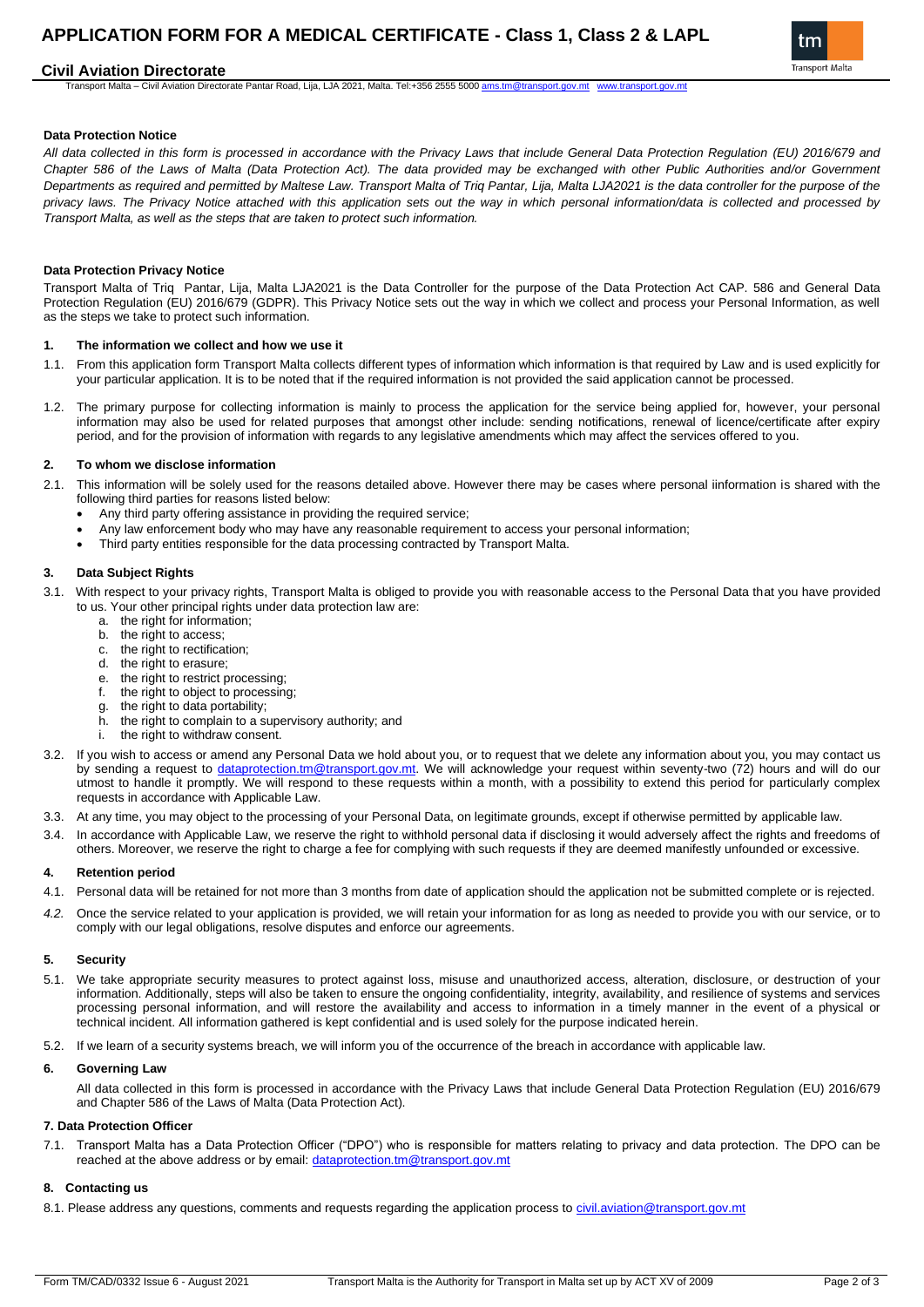# **APPLICATION FORM FOR A MEDICAL CERTIFICATE - Class 1, Class 2 & LAPL**

## **Civil Aviation Directorate**

Transport Malta – Civil Aviation Directorate Pantar Road, Lija, LJA 2021, Malta. Tel:+356 2555 5000 ams.tm@transport.gov.mt



#### **Data Protection Notice**

*All data collected in this form is processed in accordance with the Privacy Laws that include General Data Protection Regulation (EU) 2016/679 and Chapter 586 of the Laws of Malta (Data Protection Act). The data provided may be exchanged with other Public Authorities and/or Government Departments as required and permitted by Maltese Law. Transport Malta of Triq Pantar, Lija, Malta LJA2021 is the data controller for the purpose of the privacy laws. The Privacy Notice attached with this application sets out the way in which personal information/data is collected and processed by Transport Malta, as well as the steps that are taken to protect such information.*

#### **Data Protection Privacy Notice**

Transport Malta of Triq Pantar, Lija, Malta LJA2021 is the Data Controller for the purpose of the Data Protection Act CAP. 586 and General Data Protection Regulation (EU) 2016/679 (GDPR). This Privacy Notice sets out the way in which we collect and process your Personal Information, as well as the steps we take to protect such information.

#### **1. The information we collect and how we use it**

- 1.1. From this application form Transport Malta collects different types of information which information is that required by Law and is used explicitly for your particular application. It is to be noted that if the required information is not provided the said application cannot be processed.
- 1.2. The primary purpose for collecting information is mainly to process the application for the service being applied for, however, your personal information may also be used for related purposes that amongst other include: sending notifications, renewal of licence/certificate after expiry period, and for the provision of information with regards to any legislative amendments which may affect the services offered to you.

#### **2. To whom we disclose information**

- 2.1. This information will be solely used for the reasons detailed above. However there may be cases where personal iinformation is shared with the following third parties for reasons listed below:
	- Any third party offering assistance in providing the required service;
	- Any law enforcement body who may have any reasonable requirement to access your personal information;
	- Third party entities responsible for the data processing contracted by Transport Malta.

#### **3. Data Subject Rights**

- 3.1. With respect to your privacy rights, Transport Malta is obliged to provide you with reasonable access to the Personal Data that you have provided to us. Your other principal rights under data protection law are:
	- a. the right for information;
	- b. the right to access;
	- c. the right to rectification;
	- d. the right to erasure;
	- e. the right to restrict processing;
	- f. the right to object to processing;
	- g. the right to data portability;<br>h. the right to complain to a s
	- the right to complain to a supervisory authority; and
	- the right to withdraw consent.
- 3.2. If you wish to access or amend any Personal Data we hold about you, or to request that we delete any information about you, you may contact us by sending a request to dataprotection.tm@transport.gov.mt</u>. We will acknowledge your request within seventy-two (72) hours and will do our utmost to handle it promptly. We will respond to these requests within a month, with a possibility to extend this period for particularly complex requests in accordance with Applicable Law.
- 3.3. At any time, you may object to the processing of your Personal Data, on legitimate grounds, except if otherwise permitted by applicable law.
- 3.4. In accordance with Applicable Law, we reserve the right to withhold personal data if disclosing it would adversely affect the rights and freedoms of others. Moreover, we reserve the right to charge a fee for complying with such requests if they are deemed manifestly unfounded or excessive.

#### **4. Retention period**

- 4.1. Personal data will be retained for not more than 3 months from date of application should the application not be submitted complete or is rejected.
- *4.2.* Once the service related to your application is provided, we will retain your information for as long as needed to provide you with our service, or to comply with our legal obligations, resolve disputes and enforce our agreements.

#### **5. Security**

- 5.1. We take appropriate security measures to protect against loss, misuse and unauthorized access, alteration, disclosure, or destruction of your information. Additionally, steps will also be taken to ensure the ongoing confidentiality, integrity, availability, and resilience of systems and services processing personal information, and will restore the availability and access to information in a timely manner in the event of a physical or technical incident. All information gathered is kept confidential and is used solely for the purpose indicated herein.
- 5.2. If we learn of a security systems breach, we will inform you of the occurrence of the breach in accordance with applicable law.

#### **6. Governing Law**

All data collected in this form is processed in accordance with the Privacy Laws that include General Data Protection Regulation (EU) 2016/679 and Chapter 586 of the Laws of Malta (Data Protection Act).

#### **7. Data Protection Officer**

7.1. Transport Malta has a Data Protection Officer ("DPO") who is responsible for matters relating to privacy and data protection. The DPO can be reached at the above address or by email: [dataprotection.tm@transport.gov.mt](mailto:dataprotection.tm@transport.gov.mt)

### **8. Contacting us**

8.1. Please address any questions, comments and requests regarding the application process to civil.aviation@transport.gov.mt